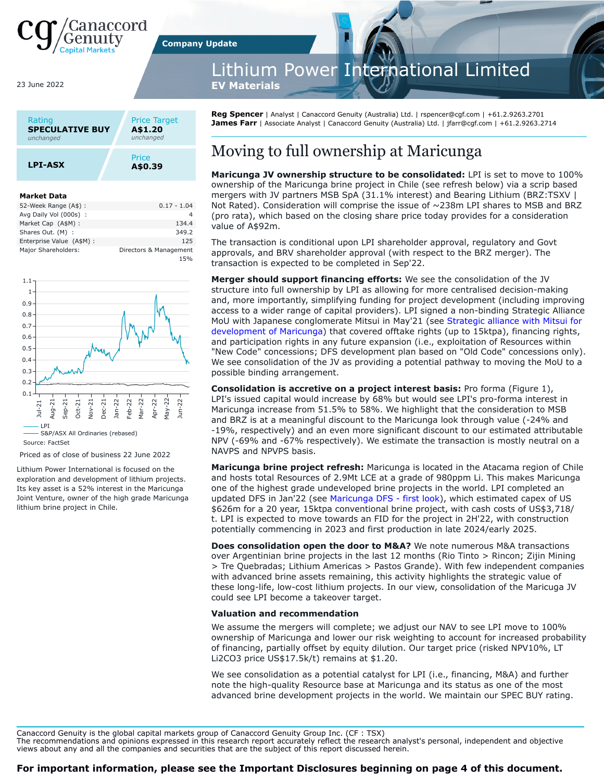

23 June 2022

| Rating                 | <b>Price Target</b> |
|------------------------|---------------------|
| <b>SPECULATIVE BUY</b> | A\$1.20             |
| unchanged              | unchanged           |
| <b>LPI-ASX</b>         | Price<br>A\$0.39    |

#### **Market Data**

| 52-Week Range (A\$):      | $0.17 - 1.04$          |
|---------------------------|------------------------|
| Avg Daily Vol (000s) :    | 4                      |
| Market Cap (A\$M):        | 134.4                  |
| Shares Out. (M) :         | 349.2                  |
| Enterprise Value (A\$M) : | 125                    |
| Major Shareholders:       | Directors & Management |
|                           | 15%                    |



Source: FactSet

Priced as of close of business 22 June 2022

Lithium Power International is focused on the exploration and development of lithium projects. Its key asset is a 52% interest in the Maricunga Joint Venture, owner of the high grade Maricunga lithium brine project in Chile.

thium Power International Limited

**EV Materials** 

**Company Update**

**Reg Spencer** | Analyst | Canaccord Genuity (Australia) Ltd. | rspencer@cgf.com | +61.2.9263.2701 James Farr | Associate Analyst | Canaccord Genuity (Australia) Ltd. | jfarr@cgf.com | +61.2.9263.2714

## Moving to full ownership at Maricunga

**Maricunga JV ownership structure to be consolidated:** LPI is set to move to 100% ownership of the Maricunga brine project in Chile (see refresh below) via a scrip based mergers with JV partners MSB SpA (31.1% interest) and Bearing Lithium (BRZ:TSXV | Not Rated). Consideration will comprise the issue of  $\sim$  238m LPI shares to MSB and BRZ (pro rata), which based on the closing share price today provides for a consideration value of A\$92m.

The transaction is conditional upon LPI shareholder approval, regulatory and Govt approvals, and BRV shareholder approval (with respect to the BRZ merger). The transaction is expected to be completed in Sep'22.

**Merger should support financing efforts:** We see the consolidation of the JV structure into full ownership by LPI as allowing for more centralised decision-making and, more importantly, simplifying funding for project development (including improving access to a wider range of capital providers). LPI signed a non-binding Strategic Alliance MoU with Japanese conglomerate Mitsui in May'21 (see [Strategic alliance with Mitsui for](https://canaccordgenuity.bluematrix.com/docs/pdf/846bb168-a995-42d8-90ea-7ca10282fa59.pdf?pdf) [development of Maricunga](https://canaccordgenuity.bluematrix.com/docs/pdf/846bb168-a995-42d8-90ea-7ca10282fa59.pdf?pdf)) that covered offtake rights (up to 15ktpa), financing rights, and participation rights in any future expansion (i.e., exploitation of Resources within "New Code" concessions; DFS development plan based on "Old Code" concessions only). We see consolidation of the JV as providing a potential pathway to moving the MoU to a possible binding arrangement.

**Consolidation is accretive on a project interest basis:** Pro forma (Figure 1), LPI's issued capital would increase by 68% but would see LPI's pro-forma interest in Maricunga increase from 51.5% to 58%. We highlight that the consideration to MSB and BRZ is at a meaningful discount to the Maricunga look through value (-24% and -19%, respectively) and an even more significant discount to our estimated attributable NPV (-69% and -67% respectively). We estimate the transaction is mostly neutral on a NAVPS and NPVPS basis.

**Maricunga brine project refresh:** Maricunga is located in the Atacama region of Chile and hosts total Resources of 2.9Mt LCE at a grade of 980ppm Li. This makes Maricunga one of the highest grade undeveloped brine projects in the world. LPI completed an updated DFS in Jan'22 (see [Maricunga DFS - first look\)](https://canaccordgenuity.bluematrix.com/docs/pdf/fec65d11-6af0-4ab0-904b-1f5bcdd74037.pdf?pdf), which estimated capex of US \$626m for a 20 year, 15ktpa conventional brine project, with cash costs of US\$3,718/ t. LPI is expected to move towards an FID for the project in 2H'22, with construction potentially commencing in 2023 and first production in late 2024/early 2025.

**Does consolidation open the door to M&A?** We note numerous M&A transactions over Argentinian brine projects in the last 12 months (Rio Tinto > Rincon; Zijin Mining > Tre Quebradas; Lithium Americas > Pastos Grande). With few independent companies with advanced brine assets remaining, this activity highlights the strategic value of these long-life, low-cost lithium projects. In our view, consolidation of the Maricuga JV could see LPI become a takeover target.

#### **Valuation and recommendation**

We assume the mergers will complete; we adjust our NAV to see LPI move to 100% ownership of Maricunga and lower our risk weighting to account for increased probability of financing, partially offset by equity dilution. Our target price (risked NPV10%, LT Li2CO3 price US\$17.5k/t) remains at \$1.20.

We see consolidation as a potential catalyst for LPI (i.e., financing, M&A) and further note the high-quality Resource base at Maricunga and its status as one of the most advanced brine development projects in the world. We maintain our SPEC BUY rating.

Canaccord Genuity is the global capital markets group of Canaccord Genuity Group Inc. (CF : TSX)

The recommendations and opinions expressed in this research report accurately reflect the research analyst's personal, independent and objective views about any and all the companies and securities that are the subject of this report discussed herein.

#### **For important information, please see the Important Disclosures beginning on page 4 of this document.**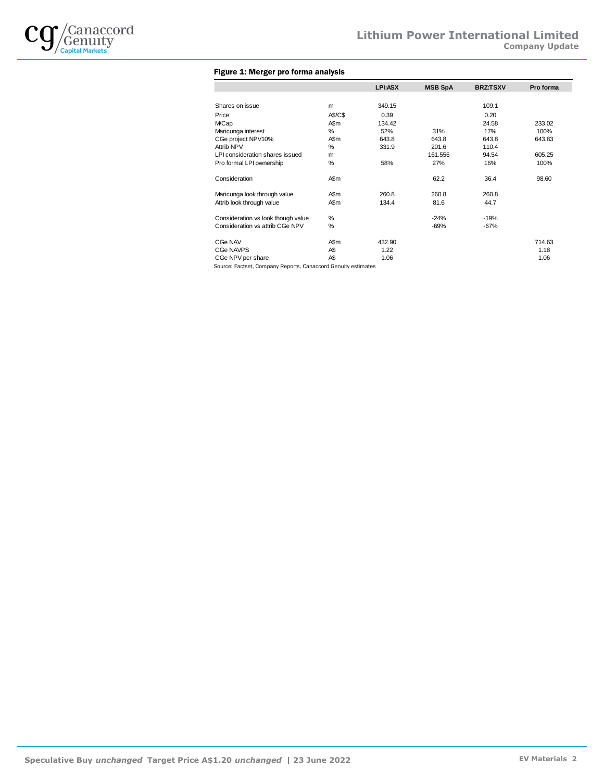

### Figure 1: Merger pro forma analysis

|                                                               |         | LPI:ASX | <b>MSB SpA</b> | <b>BRZ:TSXV</b> | Pro forma |
|---------------------------------------------------------------|---------|---------|----------------|-----------------|-----------|
|                                                               |         |         |                |                 |           |
| Shares on issue                                               | m       | 349.15  |                | 109.1           |           |
| Price                                                         | A\$/C\$ | 0.39    |                | 0.20            |           |
| <b>MCap</b>                                                   | A\$m    | 134.42  |                | 24.58           | 233.02    |
| Maricunga interest                                            | %       | 52%     | 31%            | 17%             | 100%      |
| CGe project NPV10%                                            | A\$m    | 643.8   | 643.8          | 643.8           | 643.83    |
| Attrib NPV                                                    | %       | 331.9   | 201.6          | 110.4           |           |
| LPI consideration shares issued                               | m       |         | 161.556        | 94.54           | 605.25    |
| Pro formal LPI ownership                                      | %       | 58%     | 27%            | 16%             | 100%      |
| Consideration                                                 | A\$m    |         | 62.2           | 36.4            | 98.60     |
| Maricunga look through value                                  | A\$m    | 260.8   | 260.8          | 260.8           |           |
| Attrib look through value                                     | A\$m    | 134.4   | 81.6           | 44.7            |           |
| Consideration vs look though value                            | %       |         | $-24%$         | $-19%$          |           |
| Consideration vs attrib CGe NPV                               | %       |         | $-69%$         | $-67%$          |           |
| CGe NAV                                                       | A\$m    | 432.90  |                |                 | 714.63    |
| <b>CGe NAVPS</b>                                              | A\$     | 1.22    |                |                 | 1.18      |
| CGe NPV per share                                             | A\$     | 1.06    |                |                 | 1.06      |
| Source: Factset, Company Reports, Canaccord Genuity estimates |         |         |                |                 |           |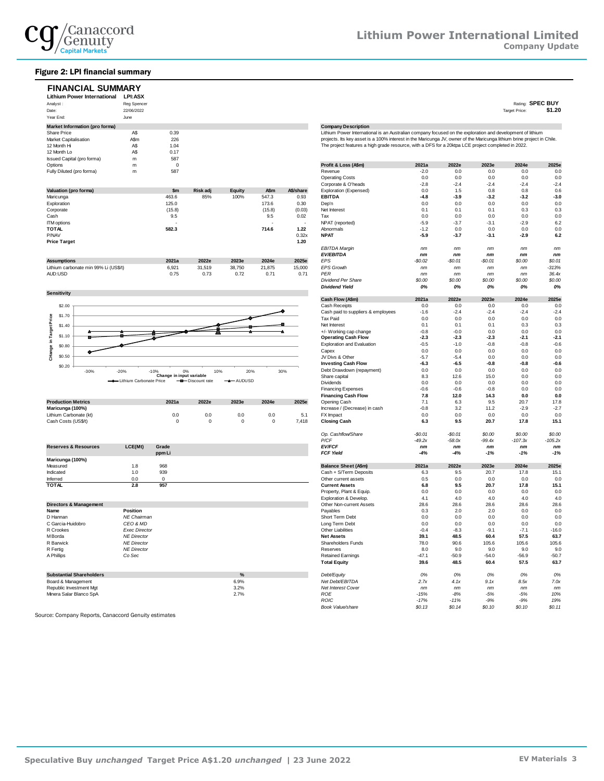

#### Figure 2: LPI financial summary

| <b>FINANCIAL SUMMARY</b><br><b>Lithium Power International</b><br>Analyst:<br>Date:<br>Year End: | <b>LPI:ASX</b><br><b>Reg Spencer</b><br>22/06/2022<br>June |       |          |        |       |           |                                                                                                                        |        |        |        | Rating:<br>Target Price: | <b>SPEC BUY</b><br>\$1.20 |
|--------------------------------------------------------------------------------------------------|------------------------------------------------------------|-------|----------|--------|-------|-----------|------------------------------------------------------------------------------------------------------------------------|--------|--------|--------|--------------------------|---------------------------|
| Market Information (pro forma)                                                                   |                                                            |       |          |        |       |           | <b>Company Description</b>                                                                                             |        |        |        |                          |                           |
| Share Price                                                                                      | A\$                                                        | 0.39  |          |        |       |           | Lithium Power International is an Australian company focused on the exploration and development of lithium             |        |        |        |                          |                           |
| Market Capitalisation                                                                            | AS <sub>m</sub>                                            | 226   |          |        |       |           | projects. Its key asset is a 100% interest in the Maricunga JV, owner of the Maricunga lithium brine project in Chile. |        |        |        |                          |                           |
| 12 Month Hi                                                                                      | A\$                                                        | 1.04  |          |        |       |           | The project features a high grade resource, with a DFS for a 20ktpa LCE project completed in 2022.                     |        |        |        |                          |                           |
| 12 Month Lo                                                                                      | A\$                                                        | 0.17  |          |        |       |           |                                                                                                                        |        |        |        |                          |                           |
| Issued Capital (pro forma)                                                                       | m                                                          | 587   |          |        |       |           |                                                                                                                        |        |        |        |                          |                           |
| Options                                                                                          | m                                                          |       |          |        |       |           | Profit & Loss (A\$m)                                                                                                   | 2021a  | 2022e  | 2023e  | 2024e                    | 2025e                     |
| Fully Diluted (pro forma)                                                                        | m                                                          | 587   |          |        |       |           | Revenue                                                                                                                | $-2.0$ | 0.0    | 0.0    | 0.0                      | 0.0                       |
|                                                                                                  |                                                            |       |          |        |       |           | <b>Operating Costs</b>                                                                                                 | 0.0    | 0.0    | 0.0    | 0.0                      | 0.0                       |
|                                                                                                  |                                                            |       |          |        |       |           | Corporate & O'heads                                                                                                    | $-2.8$ | $-2.4$ | $-2.4$ | $-2.4$                   | $-2.4$                    |
| Valuation (pro forma)                                                                            |                                                            | $sm$  | Risk adj | Equity | A\$m  | A\$/share | Exploration (Expensed)                                                                                                 | 0.0    | 1.5    | 0.8    | 0.8                      | 0.6                       |
| Maricunga                                                                                        |                                                            | 463.6 | 85%      | 100%   | 547.3 | 0.93      | <b>EBITDA</b>                                                                                                          | $-4.8$ | $-3.9$ | $-3.2$ | $-3.2$                   | $-3.0$                    |
| Exploration                                                                                      |                                                            | 125.0 |          |        | 173.6 | 0.30      | Dep'n                                                                                                                  | 0.0    | 0.0    | 0.0    | 0.0                      | 0.0                       |
|                                                                                                  |                                                            |       |          |        |       |           |                                                                                                                        |        |        |        |                          |                           |

| <b>Corporate</b>                      | 1.0.07 |        |        | ,,,,,,                   | 10.001 | <b>INGLEROPOL</b>    | $\mathsf{u}$ | $\mathsf{v}$ . | $\mathbf{v}$ . | ັບເປ   | ັບເປ    |
|---------------------------------------|--------|--------|--------|--------------------------|--------|----------------------|--------------|----------------|----------------|--------|---------|
| Cash                                  | 9.5    |        |        | 9.5                      | 0.02   | Tax                  | 0.0          | 0.0            | 0.0            | 0.0    | 0.0     |
| <b>ITM</b> options                    | . .    |        |        | $\overline{\phantom{a}}$ |        | NPAT (reported)      | $-5.9$       | $-3.7$         | $-3.1$         | $-2.9$ | 6.2     |
| <b>TOTAL</b>                          | 582.3  |        |        | 714.6                    | 1.22   | Abnormals            | $-1.2$       | 0.0            | 0.0            | 0.0    | 0.0     |
| P/NAV                                 |        |        |        |                          | 0.32x  | <b>NPAT</b>          | $-5.9$       | $-3.7$         | $-3.1$         | $-2.9$ | 6.2     |
| <b>Price Target</b>                   |        |        |        |                          | 1.20   |                      |              |                |                |        |         |
|                                       |        |        |        |                          |        | <b>EBITDA Margin</b> | nm           | nm             | nm             | nm     | nm      |
|                                       |        |        |        |                          |        | <b>EV/EBITDA</b>     | nm           | nm             | nm             | nm     | nm      |
| <b>Assumptions</b>                    | 2021a  | 2022e  | 2023e  | 2024e                    | 2025e  | EPS                  | $-S0.02$     | $-S0.01$       | $-$0.01$       | \$0.00 | \$0.01  |
| Lithium carbonate min 99% Li (US\$/t) | 6,921  | 31,519 | 38,750 | 21,875                   | 15,000 | <b>EPS Growth</b>    | nm           | nm             | nm             | nm     | $-313%$ |







|                           |       |       |       |       |       | Financing Cash Flow           | $\sim$ | 14.U        | - 14. .        | v.v    | v.v                     |
|---------------------------|-------|-------|-------|-------|-------|-------------------------------|--------|-------------|----------------|--------|-------------------------|
| <b>Production Metrics</b> | 2021a | 2022e | 2023e | 2024e | 2025e | Opening Cash                  |        | 6.3         | 9.5            | 20.7   | 17.8                    |
| Maricunga (100%)          |       |       |       |       |       | Increase / (Decrease) in cash | $-0.8$ | $2^{\circ}$ | $\overline{A}$ | $-2.9$ | $\sim$ $\sim$<br>$-2.1$ |
| Lithium Carbonate (kt)    | 0.0   | 0.0   | 0.0   | 0.0   | J.I   | FX Impact                     |        | 0.0         | 0.0            | 0.0    | 0.0                     |
| Cash Costs (US\$/t)       |       |       |       |       | 7,418 | <b>Closing Cash</b>           |        | 9.5         | 20.7           | 17.8   | 15.1                    |

|                                 |         |        | r/ur                        | -49.ZX | -JO.UX | -99.48 | -107.38 | $-100.28$ |
|---------------------------------|---------|--------|-----------------------------|--------|--------|--------|---------|-----------|
| <b>Reserves &amp; Resources</b> | LCE(Mt) | Grade  | <b>EV/FCF</b>               | nm     | nm     | nm     | nm      | nm        |
|                                 |         | ppm Li | <b>FCF Yield</b>            | $-4%$  | $-4%$  | $-1%$  | $-1%$   | $-1%$     |
| Maricunga (100%)                |         |        |                             |        |        |        |         |           |
| Measured                        |         | 968    | <b>Balance Sheet (A\$m)</b> | 2021a  | 2022e  | 2023e  | 2024e   | 2025e     |
| Indicated                       |         | 939    | Cash + S/Term Deposits      | 6.3    | 9.5    | 20.7   | 17.8    | 15.1      |
| Inferred                        | 0.0     |        | Other current assets        | 0.5    | 0.0    | 0.0    | 0.0     | 0.0       |
| <b>TOTAL</b>                    | 2.8     | 957    | <b>Current Assets</b>       | 6.8    | 9.5    | 20.7   | 17.8    | 15.1      |

| Directors & Management          |                      | Other Non-current Assets | 28.6                      | 28.6    | 28.6    | 28.6    | 28.6    |         |
|---------------------------------|----------------------|--------------------------|---------------------------|---------|---------|---------|---------|---------|
| Name                            | <b>Position</b>      |                          | Payables                  | 0.3     | 2.0     | 2.0     | 0.0     | 0.0     |
| D Hannan                        | NE Chairman          |                          | Short Term Debt           | 0.0     | 0.0     | 0.0     | 0.0     | 0.0     |
| C Garcia-Huidobro               | CEO & MD             |                          | Long Term Debt            | 0.0     | 0.0     | 0.0     | 0.0     | 0.0     |
| R Crookes                       | <b>Exec Director</b> |                          | Other Liabilities         | $-0.4$  | $-8.3$  | $-9.1$  | $-7.1$  | $-16.0$ |
| M Borda                         | <b>NE Director</b>   |                          | <b>Net Assets</b>         | 39.1    | 48.5    | 60.4    | 57.5    | 63.7    |
| R Barwick                       | <b>NE Director</b>   |                          | Shareholders Funds        | 78.0    | 90.6    | 105.6   | 105.6   | 105.6   |
| R Fertig                        | <b>NE Director</b>   |                          | Reserves                  | 8.0     | 9.0     | 9.0     | 9.0     | 9.0     |
| A Phillips                      | Co Sec               |                          | <b>Retained Earnings</b>  | $-47.1$ | $-50.9$ | $-54.0$ | $-56.9$ | $-50.7$ |
|                                 |                      |                          | <b>Total Equity</b>       | 39.6    | 48.5    | 60.4    | 57.5    | 63.7    |
| <b>Substantial Shareholders</b> |                      | %                        | Debt/Equity               | 0%      | 0%      | 0%      | 0%      | 0%      |
| Board & Management              |                      | 6.9%                     | Net Debt/EBITDA           | 2.7x    | 4.1x    | 9.1x    | 8.5x    | 7.0x    |
| Republic Investment Mgt         |                      | 3.2%                     | <b>Net Interest Cover</b> | nm      | nm      | nm      | nm      | nm      |
| Minera Salar Blanco SpA         |                      | 2.7%                     | <b>ROE</b>                | $-15%$  | $-8%$   | $-5%$   | $-5%$   | 10%     |

Source: Company Reports, Canaccord Genuity estimates

| Options                               | m                          | $\mathbf 0$              |                           |               |             |           | Profit & Loss (A\$m)               | 2021a    | 2022e    | 2023e    | 2024e     | 2025e     |
|---------------------------------------|----------------------------|--------------------------|---------------------------|---------------|-------------|-----------|------------------------------------|----------|----------|----------|-----------|-----------|
| Fully Diluted (pro forma)             | m                          | 587                      |                           |               |             |           | Revenue                            | $-2.0$   | 0.0      | 0.0      | 0.0       | 0.0       |
|                                       |                            |                          |                           |               |             |           | <b>Operating Costs</b>             | 0.0      | 0.0      | 0.0      | 0.0       | 0.0       |
|                                       |                            |                          |                           |               |             |           | Corporate & O'heads                | $-2.8$   | $-2.4$   | $-2.4$   | $-2.4$    | $-2.4$    |
| Valuation (pro forma)                 |                            | \$m                      | Risk adj                  | <b>Equity</b> | A\$m        | A\$/share | Exploration (Expensed)             | 0.0      | 1.5      | 0.8      | 0.8       | 0.6       |
| Maricunga                             |                            | 463.6                    | 85%                       | 100%          | 547.3       | 0.93      | <b>EBITDA</b>                      | $-4.8$   | $-3.9$   | $-3.2$   | $-3.2$    | $-3.0$    |
| Exploration                           |                            | 125.0                    |                           |               | 173.6       | 0.30      | Dep'n                              | 0.0      | 0.0      | 0.0      | 0.0       | 0.0       |
|                                       |                            | (15.8)                   |                           |               | (15.8)      | (0.03)    | Net Interest                       | 0.1      | 0.1      | 0.1      | 0.3       | 0.3       |
| Corporate                             |                            |                          |                           |               |             |           |                                    |          |          |          |           |           |
| Cash                                  |                            | 9.5                      |                           |               | 9.5         | 0.02      | Tax                                | 0.0      | 0.0      | 0.0      | 0.0       | 0.0       |
| <b>ITM</b> options                    |                            |                          |                           |               |             | $\sim$    | NPAT (reported)                    | $-5.9$   | $-3.7$   | $-3.1$   | $-2.9$    | 6.2       |
| <b>TOTAL</b>                          |                            | 582.3                    |                           |               | 714.6       | 1.22      | Abnormals                          | $-1.2$   | 0.0      | 0.0      | 0.0       | 0.0       |
| P/NAV                                 |                            |                          |                           |               |             | 0.32x     | <b>NPAT</b>                        | $-5.9$   | $-3.7$   | $-3.1$   | $-2.9$    | 6.2       |
| <b>Price Target</b>                   |                            |                          |                           |               |             | 1.20      |                                    |          |          |          |           |           |
|                                       |                            |                          |                           |               |             |           | <b>EBITDA Margin</b>               | nm       | nm       | nm       | nm        | nm        |
|                                       |                            |                          |                           |               |             |           | <b>EV/EBITDA</b>                   | nm       | $\it nm$ | nm       | nm        | nm        |
|                                       |                            | 2021a                    | 2022e                     | 2023e         | 2024e       | 2025e     | EPS                                |          |          |          |           |           |
| <b>Assumptions</b>                    |                            |                          |                           |               |             |           |                                    | $-$0.02$ | $-S0.01$ | $-$0.01$ | \$0.00    | \$0.01    |
| Lithium carbonate min 99% Li (US\$/t) |                            | 6,921                    | 31,519                    | 38,750        | 21,875      | 15,000    | <b>EPS Growth</b>                  | nm       | nm       | nm       | nm        | $-313%$   |
| AUD:USD                               |                            | 0.75                     | 0.73                      | 0.72          | 0.71        | 0.71      | <b>PER</b>                         | nm       | nm       | nm       | nm        | 36.4x     |
|                                       |                            |                          |                           |               |             |           | Dividend Per Share                 | \$0.00   | \$0.00   | \$0.00   | \$0.00    | \$0.00    |
|                                       |                            |                          |                           |               |             |           | <b>Dividend Yield</b>              | 0%       | 0%       | 0%       | 0%        | 0%        |
| <b>Sensitivity</b>                    |                            |                          |                           |               |             |           |                                    |          |          |          |           |           |
|                                       |                            |                          |                           |               |             |           | Cash Flow (A\$m)                   | 2021a    | 2022e    | 2023e    | 2024e     | 2025e     |
| \$2.00                                |                            |                          |                           |               |             |           | Cash Receipts                      | 0.0      | 0.0      | 0.0      | 0.0       | 0.0       |
|                                       |                            |                          |                           |               |             |           | Cash paid to suppliers & employees | $-1.6$   | $-2.4$   | $-2.4$   | $-2.4$    | $-2.4$    |
| \$1.70                                |                            |                          |                           |               |             |           |                                    |          |          |          |           |           |
|                                       |                            |                          |                           |               |             |           | Tax Paid                           | 0.0      | 0.0      | 0.0      | 0.0       | 0.0       |
| \$1.40                                |                            |                          |                           |               |             |           | Net Interest                       | 0.1      | 0.1      | 0.1      | 0.3       | 0.3       |
|                                       |                            |                          |                           |               |             |           | +/- Working cap change             | $-0.8$   | $-0.0$   | 0.0      | 0.0       | 0.0       |
| \$1.10                                |                            |                          |                           |               |             |           | <b>Operating Cash Flow</b>         | $-2.3$   | $-2.3$   | $-2.3$   | $-2.1$    | $-2.1$    |
| \$0.80                                |                            |                          |                           |               |             |           | <b>Exploration and Evaluation</b>  | $-0.5$   | $-1.0$   | $-0.8$   | $-0.8$    | $-0.6$    |
|                                       |                            |                          |                           |               |             |           | Capex                              | 0.0      | 0.0      | 0.0      | 0.0       | 0.0       |
| CHange in Target Price<br>\$0.50      |                            |                          |                           |               |             |           | JV Divs & Other                    | $-5.7$   | $-5.4$   | 0.0      | 0.0       | 0.0       |
|                                       |                            |                          |                           |               |             |           | <b>Investing Cash Flow</b>         | $-6.3$   | $-6.5$   | $-0.8$   | $-0.8$    | $-0.6$    |
| \$0.20                                |                            |                          |                           |               |             |           |                                    |          |          |          |           |           |
| $-30%$                                | $-20%$                     | 0%<br>$-10%$             | 10%                       | 20%           |             | 30%       | Debt Drawdown (repayment)          | 0.0      | 0.0      | 0.0      | 0.0       | 0.0       |
|                                       | -+ Lithium Carbonate Price | Change in input variable | - <b>B</b> -Discount rate | -AUDUSD<br>—  |             |           | Share capital                      | 8.3      | 12.6     | 15.0     | 0.0       | 0.0       |
|                                       |                            |                          |                           |               |             |           | Dividends                          | 0.0      | 0.0      | 0.0      | 0.0       | 0.0       |
|                                       |                            |                          |                           |               |             |           | <b>Financing Expenses</b>          | $-0.6$   | $-0.6$   | $-0.8$   | 0.0       | 0.0       |
|                                       |                            |                          |                           |               |             |           | <b>Financing Cash Flow</b>         | 7.8      | 12.0     | 14.3     | 0.0       | 0.0       |
| <b>Production Metrics</b>             |                            | 2021a                    | 2022e                     | 2023e         | 2024e       | 2025e     | Opening Cash                       | 7.1      | 6.3      | 9.5      | 20.7      | 17.8      |
| Maricunga (100%)                      |                            |                          |                           |               |             |           | Increase / (Decrease) in cash      | $-0.8$   | 3.2      | 11.2     | $-2.9$    | $-2.7$    |
| Lithium Carbonate (kt)                |                            | 0.0                      | 0.0                       | 0.0           | 0.0         | 5.1       | FX Impact                          | 0.0      | 0.0      | 0.0      | 0.0       | 0.0       |
|                                       |                            | $\Omega$                 | $\mathbf 0$               | $\Omega$      | $\mathbf 0$ |           |                                    |          | 9.5      | 20.7     | 17.8      |           |
| Cash Costs (US\$/t)                   |                            |                          |                           |               |             | 7,418     | <b>Closing Cash</b>                | 6.3      |          |          |           | 15.1      |
|                                       |                            |                          |                           |               |             |           |                                    |          |          |          |           |           |
|                                       |                            |                          |                           |               |             |           | Op. Cashflow/Share                 | $-$0.01$ | $-S0.01$ | \$0.00   | \$0.00    | \$0.00    |
|                                       |                            |                          |                           |               |             |           | P/CF                               | $-49.2x$ | $-58.0x$ | $-99.4x$ | $-107.3x$ | $-105.2x$ |
| Reserves & Resources                  | LCE(Mt)                    | Grade                    |                           |               |             |           | <b>EV/FCF</b>                      | nm       | nm       | nm       | nm        | nm        |
|                                       |                            | ppm Li                   |                           |               |             |           | FCF Yield                          | $-4%$    | -4%      | $-1%$    | $-1%$     | $-1%$     |
| Maricunga (100%)                      |                            |                          |                           |               |             |           |                                    |          |          |          |           |           |
| Measured                              | 1.8                        | 968                      |                           |               |             |           | <b>Balance Sheet (A\$m)</b>        | 2021a    | 2022e    | 2023e    | 2024e     | 2025e     |
| Indicated                             | 1.0                        | 939                      |                           |               |             |           | Cash + S/Term Deposits             |          | 9.5      | 20.7     | 17.8      | 15.1      |
|                                       |                            |                          |                           |               |             |           |                                    | 6.3      |          |          |           |           |
| Inferred                              | 0.0                        | 0                        |                           |               |             |           | Other current assets               | 0.5      | 0.0      | 0.0      | 0.0       | 0.0       |
| <b>TOTAL</b>                          | 2.8                        | 957                      |                           |               |             |           | <b>Current Assets</b>              | 6.8      | 9.5      | 20.7     | 17.8      | 15.1      |
|                                       |                            |                          |                           |               |             |           | Property, Plant & Equip.           | 0.0      | 0.0      | 0.0      | 0.0       | 0.0       |
|                                       |                            |                          |                           |               |             |           | Exploration & Develop              | 4.1      | 4.0      | 4.0      | 4.0       | 4.0       |
| <b>Directors &amp; Management</b>     |                            |                          |                           |               |             |           | Other Non-current Assets           | 28.6     | 28.6     | 28.6     | 28.6      | 28.6      |
| Name                                  | Position                   |                          |                           |               |             |           | Payables                           | 0.3      | 2.0      | 2.0      | 0.0       | 0.0       |
| D Hannan                              | NE Chairman                |                          |                           |               |             |           | Short Term Debt                    | 0.0      | 0.0      | 0.0      | 0.0       | 0.0       |
| C Garcia-Huidobro                     | CEO & MD                   |                          |                           |               |             |           |                                    | 0.0      | 0.0      | 0.0      | 0.0       | 0.0       |
|                                       |                            |                          |                           |               |             |           | Long Term Debt                     |          |          |          |           |           |
| R Crookes                             | <b>Exec Director</b>       |                          |                           |               |             |           | Other Liabilities                  | $-0.4$   | $-8.3$   | $-9.1$   | $-7.1$    | $-16.0$   |
| M Borda                               | <b>NE Director</b>         |                          |                           |               |             |           | <b>Net Assets</b>                  | 39.1     | 48.5     | 60.4     | 57.5      | 63.7      |
| R Barwick                             | <b>NE Director</b>         |                          |                           |               |             |           | Shareholders Funds                 | 78.0     | 90.6     | 105.6    | 105.6     | 105.6     |
| R Fertig                              | <b>NE Director</b>         |                          |                           |               |             |           | Reserves                           | 8.0      | 9.0      | 9.0      | 9.0       | 9.0       |
| A Phillips                            | Co Sec                     |                          |                           |               |             |           | <b>Retained Earnings</b>           | $-47.1$  | $-50.9$  | $-54.0$  | $-56.9$   | $-50.7$   |
|                                       |                            |                          |                           |               |             |           | <b>Total Equity</b>                | 39.6     | 48.5     | 60.4     | 57.5      | 63.7      |
|                                       |                            |                          |                           |               |             |           |                                    |          |          |          |           |           |
| <b>Substantial Shareholders</b>       |                            |                          |                           | %             |             |           | Debt/Equity                        | 0%       | 0%       | 0%       | 0%        | 0%        |
|                                       |                            |                          |                           |               |             |           |                                    |          |          |          |           |           |
| Board & Management                    |                            |                          |                           | 6.9%          |             |           | Net Debt/EBITDA                    | 2.7x     | 4.1x     | 9.1x     | 8.5x      | 7.0x      |
| Republic Investment Mgt               |                            |                          |                           | 3.2%          |             |           | Net Interest Cover                 | nm       | nm       | nm       | nm        | nm        |
| Minera Salar Blanco SpA               |                            |                          |                           | 2.7%          |             |           | ROE                                | $-15%$   | $-8%$    | $-5%$    | $-5%$     | 10%       |
|                                       |                            |                          |                           |               |             |           | <b>ROIC</b>                        | $-17%$   | $-11%$   | $-9%$    | $-9%$     | 19%       |
|                                       |                            |                          |                           |               |             |           | Book Value/share                   | \$0.13   | \$0.14   | \$0.10   | \$0.10    | \$0.11    |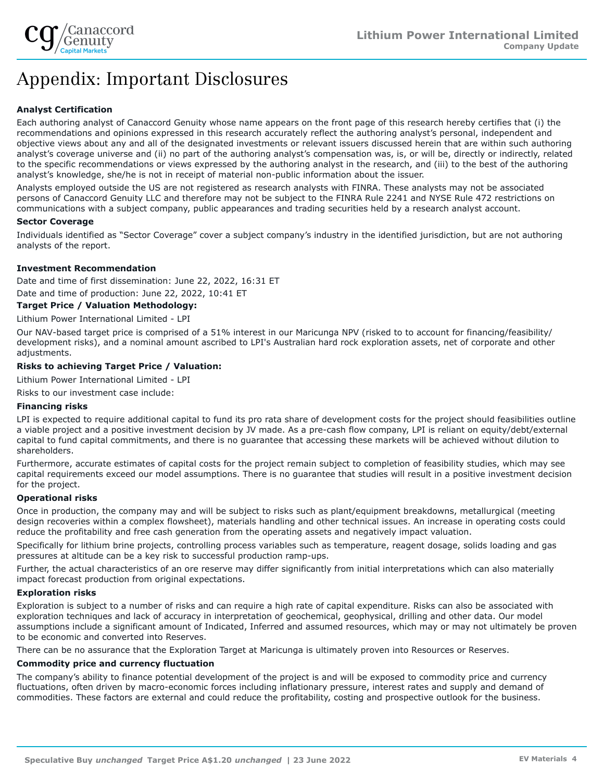

# Appendix: Important Disclosures

### **Analyst Certification**

Each authoring analyst of Canaccord Genuity whose name appears on the front page of this research hereby certifies that (i) the recommendations and opinions expressed in this research accurately reflect the authoring analyst's personal, independent and objective views about any and all of the designated investments or relevant issuers discussed herein that are within such authoring analyst's coverage universe and (ii) no part of the authoring analyst's compensation was, is, or will be, directly or indirectly, related to the specific recommendations or views expressed by the authoring analyst in the research, and (iii) to the best of the authoring analyst's knowledge, she/he is not in receipt of material non-public information about the issuer.

Analysts employed outside the US are not registered as research analysts with FINRA. These analysts may not be associated persons of Canaccord Genuity LLC and therefore may not be subject to the FINRA Rule 2241 and NYSE Rule 472 restrictions on communications with a subject company, public appearances and trading securities held by a research analyst account.

#### **Sector Coverage**

Individuals identified as "Sector Coverage" cover a subject company's industry in the identified jurisdiction, but are not authoring analysts of the report.

#### **Investment Recommendation**

Date and time of first dissemination: June 22, 2022, 16:31 ET

Date and time of production: June 22, 2022, 10:41 ET

#### **Target Price / Valuation Methodology:**

#### Lithium Power International Limited - LPI

Our NAV-based target price is comprised of a 51% interest in our Maricunga NPV (risked to to account for financing/feasibility/ development risks), and a nominal amount ascribed to LPI's Australian hard rock exploration assets, net of corporate and other adjustments.

#### **Risks to achieving Target Price / Valuation:**

Lithium Power International Limited - LPI

Risks to our investment case include:

#### **Financing risks**

LPI is expected to require additional capital to fund its pro rata share of development costs for the project should feasibilities outline a viable project and a positive investment decision by JV made. As a pre-cash flow company, LPI is reliant on equity/debt/external capital to fund capital commitments, and there is no guarantee that accessing these markets will be achieved without dilution to shareholders.

Furthermore, accurate estimates of capital costs for the project remain subject to completion of feasibility studies, which may see capital requirements exceed our model assumptions. There is no guarantee that studies will result in a positive investment decision for the project.

#### **Operational risks**

Once in production, the company may and will be subject to risks such as plant/equipment breakdowns, metallurgical (meeting design recoveries within a complex flowsheet), materials handling and other technical issues. An increase in operating costs could reduce the profitability and free cash generation from the operating assets and negatively impact valuation.

Specifically for lithium brine projects, controlling process variables such as temperature, reagent dosage, solids loading and gas pressures at altitude can be a key risk to successful production ramp-ups.

Further, the actual characteristics of an ore reserve may differ significantly from initial interpretations which can also materially impact forecast production from original expectations.

#### **Exploration risks**

Exploration is subject to a number of risks and can require a high rate of capital expenditure. Risks can also be associated with exploration techniques and lack of accuracy in interpretation of geochemical, geophysical, drilling and other data. Our model assumptions include a significant amount of Indicated, Inferred and assumed resources, which may or may not ultimately be proven to be economic and converted into Reserves.

There can be no assurance that the Exploration Target at Maricunga is ultimately proven into Resources or Reserves.

#### **Commodity price and currency fluctuation**

The company's ability to finance potential development of the project is and will be exposed to commodity price and currency fluctuations, often driven by macro-economic forces including inflationary pressure, interest rates and supply and demand of commodities. These factors are external and could reduce the profitability, costing and prospective outlook for the business.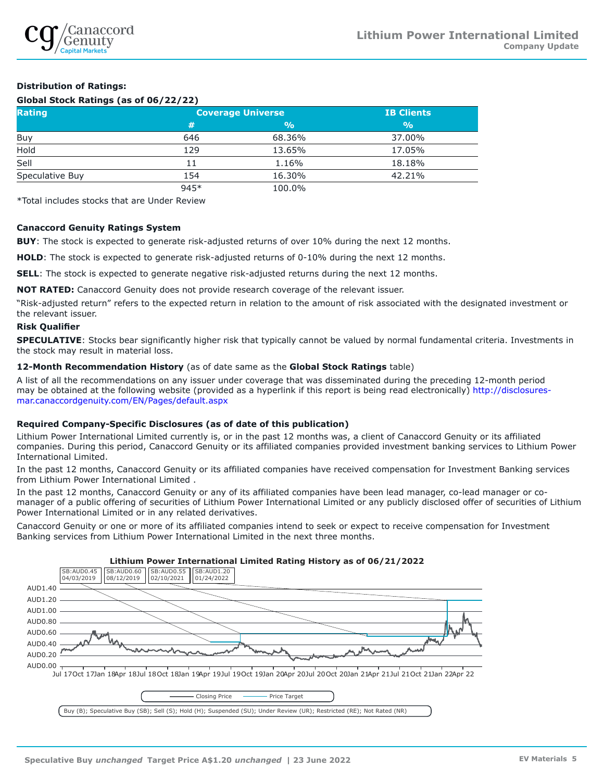

### **Distribution of Ratings:**

#### **Global Stock Ratings (as of 06/22/22)**

| Rating          | <b>Coverage Universe</b> | <b>IB Clients</b> |               |
|-----------------|--------------------------|-------------------|---------------|
|                 | #                        | $\frac{9}{0}$     | $\frac{9}{0}$ |
| Buy             | 646                      | 68.36%            | 37.00%        |
| Hold            | 129                      | 13.65%            | 17.05%        |
| Sell            | 11                       | 1.16%             | 18.18%        |
| Speculative Buy | 154                      | 16.30%            | 42.21%        |
|                 | 945*                     | 100.0%            |               |

\*Total includes stocks that are Under Review

#### **Canaccord Genuity Ratings System**

**BUY**: The stock is expected to generate risk-adjusted returns of over 10% during the next 12 months.

**HOLD**: The stock is expected to generate risk-adjusted returns of 0-10% during the next 12 months.

**SELL:** The stock is expected to generate negative risk-adjusted returns during the next 12 months.

**NOT RATED:** Canaccord Genuity does not provide research coverage of the relevant issuer.

"Risk-adjusted return" refers to the expected return in relation to the amount of risk associated with the designated investment or the relevant issuer.

#### **Risk Qualifier**

**SPECULATIVE**: Stocks bear significantly higher risk that typically cannot be valued by normal fundamental criteria. Investments in the stock may result in material loss.

#### **12-Month Recommendation History** (as of date same as the **Global Stock Ratings** table)

A list of all the recommendations on any issuer under coverage that was disseminated during the preceding 12-month period may be obtained at the following website (provided as a hyperlink if this report is being read electronically) [http://disclosures](http://disclosures-mar.canaccordgenuity.com/EN/Pages/default.aspx)[mar.canaccordgenuity.com/EN/Pages/default.aspx](http://disclosures-mar.canaccordgenuity.com/EN/Pages/default.aspx)

#### **Required Company-Specific Disclosures (as of date of this publication)**

Lithium Power International Limited currently is, or in the past 12 months was, a client of Canaccord Genuity or its affiliated companies. During this period, Canaccord Genuity or its affiliated companies provided investment banking services to Lithium Power International Limited.

In the past 12 months, Canaccord Genuity or its affiliated companies have received compensation for Investment Banking services from Lithium Power International Limited .

In the past 12 months, Canaccord Genuity or any of its affiliated companies have been lead manager, co-lead manager or comanager of a public offering of securities of Lithium Power International Limited or any publicly disclosed offer of securities of Lithium Power International Limited or in any related derivatives.

Canaccord Genuity or one or more of its affiliated companies intend to seek or expect to receive compensation for Investment Banking services from Lithium Power International Limited in the next three months.

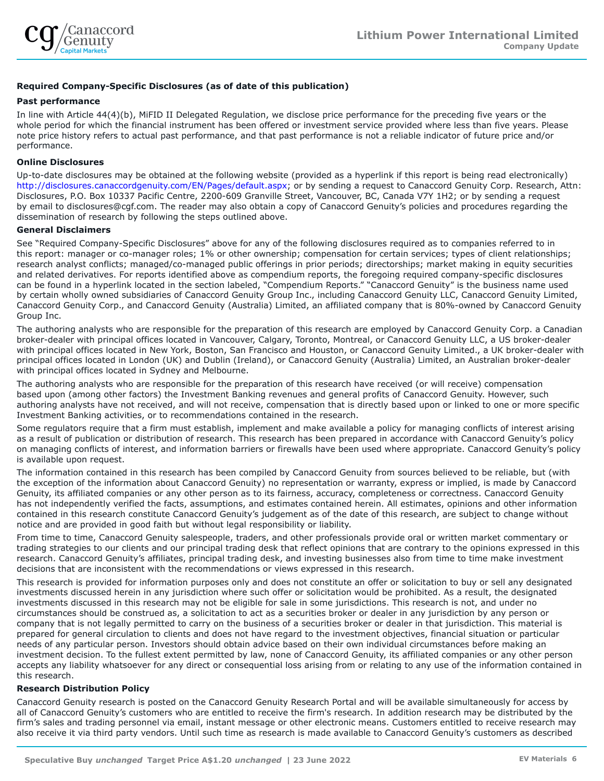

#### **Required Company-Specific Disclosures (as of date of this publication)**

#### **Past performance**

In line with Article 44(4)(b), MiFID II Delegated Regulation, we disclose price performance for the preceding five years or the whole period for which the financial instrument has been offered or investment service provided where less than five years. Please note price history refers to actual past performance, and that past performance is not a reliable indicator of future price and/or performance.

#### **Online Disclosures**

Up-to-date disclosures may be obtained at the following website (provided as a hyperlink if this report is being read electronically) <http://disclosures.canaccordgenuity.com/EN/Pages/default.aspx>; or by sending a request to Canaccord Genuity Corp. Research, Attn: Disclosures, P.O. Box 10337 Pacific Centre, 2200-609 Granville Street, Vancouver, BC, Canada V7Y 1H2; or by sending a request by email to disclosures@cgf.com. The reader may also obtain a copy of Canaccord Genuity's policies and procedures regarding the dissemination of research by following the steps outlined above.

#### **General Disclaimers**

See "Required Company-Specific Disclosures" above for any of the following disclosures required as to companies referred to in this report: manager or co-manager roles; 1% or other ownership; compensation for certain services; types of client relationships; research analyst conflicts; managed/co-managed public offerings in prior periods; directorships; market making in equity securities and related derivatives. For reports identified above as compendium reports, the foregoing required company-specific disclosures can be found in a hyperlink located in the section labeled, "Compendium Reports." "Canaccord Genuity" is the business name used by certain wholly owned subsidiaries of Canaccord Genuity Group Inc., including Canaccord Genuity LLC, Canaccord Genuity Limited, Canaccord Genuity Corp., and Canaccord Genuity (Australia) Limited, an affiliated company that is 80%-owned by Canaccord Genuity Group Inc.

The authoring analysts who are responsible for the preparation of this research are employed by Canaccord Genuity Corp. a Canadian broker-dealer with principal offices located in Vancouver, Calgary, Toronto, Montreal, or Canaccord Genuity LLC, a US broker-dealer with principal offices located in New York, Boston, San Francisco and Houston, or Canaccord Genuity Limited., a UK broker-dealer with principal offices located in London (UK) and Dublin (Ireland), or Canaccord Genuity (Australia) Limited, an Australian broker-dealer with principal offices located in Sydney and Melbourne.

The authoring analysts who are responsible for the preparation of this research have received (or will receive) compensation based upon (among other factors) the Investment Banking revenues and general profits of Canaccord Genuity. However, such authoring analysts have not received, and will not receive, compensation that is directly based upon or linked to one or more specific Investment Banking activities, or to recommendations contained in the research.

Some regulators require that a firm must establish, implement and make available a policy for managing conflicts of interest arising as a result of publication or distribution of research. This research has been prepared in accordance with Canaccord Genuity's policy on managing conflicts of interest, and information barriers or firewalls have been used where appropriate. Canaccord Genuity's policy is available upon request.

The information contained in this research has been compiled by Canaccord Genuity from sources believed to be reliable, but (with the exception of the information about Canaccord Genuity) no representation or warranty, express or implied, is made by Canaccord Genuity, its affiliated companies or any other person as to its fairness, accuracy, completeness or correctness. Canaccord Genuity has not independently verified the facts, assumptions, and estimates contained herein. All estimates, opinions and other information contained in this research constitute Canaccord Genuity's judgement as of the date of this research, are subject to change without notice and are provided in good faith but without legal responsibility or liability.

From time to time, Canaccord Genuity salespeople, traders, and other professionals provide oral or written market commentary or trading strategies to our clients and our principal trading desk that reflect opinions that are contrary to the opinions expressed in this research. Canaccord Genuity's affiliates, principal trading desk, and investing businesses also from time to time make investment decisions that are inconsistent with the recommendations or views expressed in this research.

This research is provided for information purposes only and does not constitute an offer or solicitation to buy or sell any designated investments discussed herein in any jurisdiction where such offer or solicitation would be prohibited. As a result, the designated investments discussed in this research may not be eligible for sale in some jurisdictions. This research is not, and under no circumstances should be construed as, a solicitation to act as a securities broker or dealer in any jurisdiction by any person or company that is not legally permitted to carry on the business of a securities broker or dealer in that jurisdiction. This material is prepared for general circulation to clients and does not have regard to the investment objectives, financial situation or particular needs of any particular person. Investors should obtain advice based on their own individual circumstances before making an investment decision. To the fullest extent permitted by law, none of Canaccord Genuity, its affiliated companies or any other person accepts any liability whatsoever for any direct or consequential loss arising from or relating to any use of the information contained in this research.

#### **Research Distribution Policy**

Canaccord Genuity research is posted on the Canaccord Genuity Research Portal and will be available simultaneously for access by all of Canaccord Genuity's customers who are entitled to receive the firm's research. In addition research may be distributed by the firm's sales and trading personnel via email, instant message or other electronic means. Customers entitled to receive research may also receive it via third party vendors. Until such time as research is made available to Canaccord Genuity's customers as described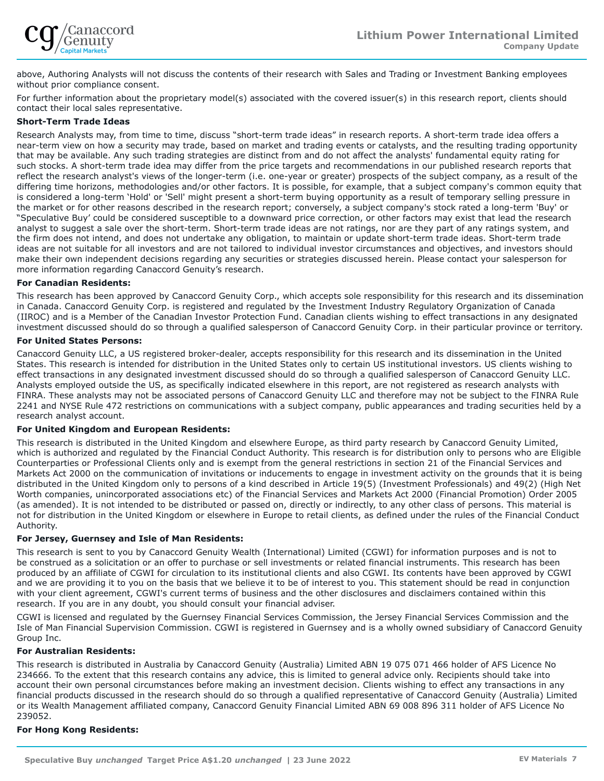

above, Authoring Analysts will not discuss the contents of their research with Sales and Trading or Investment Banking employees without prior compliance consent.

For further information about the proprietary model(s) associated with the covered issuer(s) in this research report, clients should contact their local sales representative.

#### **Short-Term Trade Ideas**

Research Analysts may, from time to time, discuss "short-term trade ideas" in research reports. A short-term trade idea offers a near-term view on how a security may trade, based on market and trading events or catalysts, and the resulting trading opportunity that may be available. Any such trading strategies are distinct from and do not affect the analysts' fundamental equity rating for such stocks. A short-term trade idea may differ from the price targets and recommendations in our published research reports that reflect the research analyst's views of the longer-term (i.e. one-year or greater) prospects of the subject company, as a result of the differing time horizons, methodologies and/or other factors. It is possible, for example, that a subject company's common equity that is considered a long-term 'Hold' or 'Sell' might present a short-term buying opportunity as a result of temporary selling pressure in the market or for other reasons described in the research report; conversely, a subject company's stock rated a long-term 'Buy' or "Speculative Buy' could be considered susceptible to a downward price correction, or other factors may exist that lead the research analyst to suggest a sale over the short-term. Short-term trade ideas are not ratings, nor are they part of any ratings system, and the firm does not intend, and does not undertake any obligation, to maintain or update short-term trade ideas. Short-term trade ideas are not suitable for all investors and are not tailored to individual investor circumstances and objectives, and investors should make their own independent decisions regarding any securities or strategies discussed herein. Please contact your salesperson for more information regarding Canaccord Genuity's research.

#### **For Canadian Residents:**

This research has been approved by Canaccord Genuity Corp., which accepts sole responsibility for this research and its dissemination in Canada. Canaccord Genuity Corp. is registered and regulated by the Investment Industry Regulatory Organization of Canada (IIROC) and is a Member of the Canadian Investor Protection Fund. Canadian clients wishing to effect transactions in any designated investment discussed should do so through a qualified salesperson of Canaccord Genuity Corp. in their particular province or territory.

#### **For United States Persons:**

Canaccord Genuity LLC, a US registered broker-dealer, accepts responsibility for this research and its dissemination in the United States. This research is intended for distribution in the United States only to certain US institutional investors. US clients wishing to effect transactions in any designated investment discussed should do so through a qualified salesperson of Canaccord Genuity LLC. Analysts employed outside the US, as specifically indicated elsewhere in this report, are not registered as research analysts with FINRA. These analysts may not be associated persons of Canaccord Genuity LLC and therefore may not be subject to the FINRA Rule 2241 and NYSE Rule 472 restrictions on communications with a subject company, public appearances and trading securities held by a research analyst account.

#### **For United Kingdom and European Residents:**

This research is distributed in the United Kingdom and elsewhere Europe, as third party research by Canaccord Genuity Limited, which is authorized and regulated by the Financial Conduct Authority. This research is for distribution only to persons who are Eligible Counterparties or Professional Clients only and is exempt from the general restrictions in section 21 of the Financial Services and Markets Act 2000 on the communication of invitations or inducements to engage in investment activity on the grounds that it is being distributed in the United Kingdom only to persons of a kind described in Article 19(5) (Investment Professionals) and 49(2) (High Net Worth companies, unincorporated associations etc) of the Financial Services and Markets Act 2000 (Financial Promotion) Order 2005 (as amended). It is not intended to be distributed or passed on, directly or indirectly, to any other class of persons. This material is not for distribution in the United Kingdom or elsewhere in Europe to retail clients, as defined under the rules of the Financial Conduct Authority.

#### **For Jersey, Guernsey and Isle of Man Residents:**

This research is sent to you by Canaccord Genuity Wealth (International) Limited (CGWI) for information purposes and is not to be construed as a solicitation or an offer to purchase or sell investments or related financial instruments. This research has been produced by an affiliate of CGWI for circulation to its institutional clients and also CGWI. Its contents have been approved by CGWI and we are providing it to you on the basis that we believe it to be of interest to you. This statement should be read in conjunction with your client agreement, CGWI's current terms of business and the other disclosures and disclaimers contained within this research. If you are in any doubt, you should consult your financial adviser.

CGWI is licensed and regulated by the Guernsey Financial Services Commission, the Jersey Financial Services Commission and the Isle of Man Financial Supervision Commission. CGWI is registered in Guernsey and is a wholly owned subsidiary of Canaccord Genuity Group Inc.

#### **For Australian Residents:**

This research is distributed in Australia by Canaccord Genuity (Australia) Limited ABN 19 075 071 466 holder of AFS Licence No 234666. To the extent that this research contains any advice, this is limited to general advice only. Recipients should take into account their own personal circumstances before making an investment decision. Clients wishing to effect any transactions in any financial products discussed in the research should do so through a qualified representative of Canaccord Genuity (Australia) Limited or its Wealth Management affiliated company, Canaccord Genuity Financial Limited ABN 69 008 896 311 holder of AFS Licence No 239052.

#### **For Hong Kong Residents:**